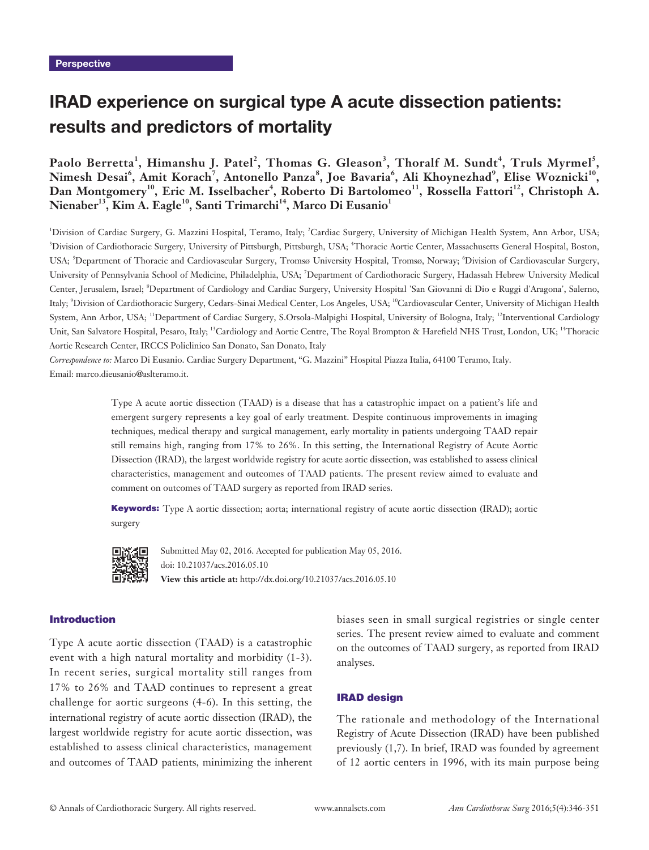# IRAD experience on surgical type A acute dissection patients: results and predictors of mortality

# **Paolo Berretta<sup>1</sup> , Himanshu J. Patel<sup>2</sup> , Thomas G. Gleason<sup>3</sup> , Thoralf M. Sundt<sup>4</sup> , Truls Myrmel<sup>5</sup> , Nimesh Desai<sup>6</sup> , Amit Korach<sup>7</sup> , Antonello Panza<sup>8</sup> , Joe Bavaria<sup>6</sup> , Ali Khoynezhad<sup>9</sup> , Elise Woznicki10,**  Dan Montgomery<sup>10</sup>, Eric M. Isselbacher<sup>4</sup>, Roberto Di Bartolomeo<sup>11</sup>, Rossella Fattori<sup>12</sup>, Christoph A. Nienaber<sup>13</sup>, Kim A. Eagle<sup>10</sup>, Santi Trimarchi<sup>14</sup>, Marco Di Eusanio<sup>1</sup>

<sup>1</sup>Division of Cardiac Surgery, G. Mazzini Hospital, Teramo, Italy; <sup>2</sup>Cardiac Surgery, University of Michigan Health System, Ann Arbor, USA; <sup>3</sup>Division of Cardiothoracic Surgery, University of Pittsburgh, Pittsburgh, USA; <sup>4</sup>Thoracic Aortic Center, Massachusetts General Hospital, Boston, USA; <sup>5</sup>Department of Thoracic and Cardiovascular Surgery, Tromsø University Hospital, Tromsø, Norway; <sup>6</sup>Division of Cardiovascular Surgery, University of Pennsylvania School of Medicine, Philadelphia, USA; <sup>7</sup>Department of Cardiothoracic Surgery, Hadassah Hebrew University Medical Center, Jerusalem, Israel; <sup>8</sup>Department of Cardiology and Cardiac Surgery, University Hospital 'San Giovanni di Dio e Ruggi d'Aragona', Salerno, Italy; <sup>9</sup> Division of Cardiothoracic Surgery, Cedars-Sinai Medical Center, Los Angeles, USA; 10Cardiovascular Center, University of Michigan Health System, Ann Arbor, USA; <sup>11</sup>Department of Cardiac Surgery, S.Orsola-Malpighi Hospital, University of Bologna, Italy; <sup>12</sup>Interventional Cardiology Unit, San Salvatore Hospital, Pesaro, Italy; <sup>13</sup>Cardiology and Aortic Centre, The Royal Brompton & Harefield NHS Trust, London, UK; <sup>14</sup>Thoracic Aortic Research Center, IRCCS Policlinico San Donato, San Donato, Italy

*Correspondence to:* Marco Di Eusanio. Cardiac Surgery Department, "G. Mazzini" Hospital Piazza Italia, 64100 Teramo, Italy. Email: marco.dieusanio@aslteramo.it.

> Type A acute aortic dissection (TAAD) is a disease that has a catastrophic impact on a patient's life and emergent surgery represents a key goal of early treatment. Despite continuous improvements in imaging techniques, medical therapy and surgical management, early mortality in patients undergoing TAAD repair still remains high, ranging from 17% to 26%. In this setting, the International Registry of Acute Aortic Dissection (IRAD), the largest worldwide registry for acute aortic dissection, was established to assess clinical characteristics, management and outcomes of TAAD patients. The present review aimed to evaluate and comment on outcomes of TAAD surgery as reported from IRAD series.

> Keywords: Type A aortic dissection; aorta; international registry of acute aortic dissection (IRAD); aortic surgery



Submitted May 02, 2016. Accepted for publication May 05, 2016. doi: 10.21037/acs.2016.05.10 **View this article at:** http://dx.doi.org/10.21037/acs.2016.05.10

### Introduction

Type A acute aortic dissection (TAAD) is a catastrophic event with a high natural mortality and morbidity (1-3). In recent series, surgical mortality still ranges from 17% to 26% and TAAD continues to represent a great challenge for aortic surgeons (4-6). In this setting, the international registry of acute aortic dissection (IRAD), the largest worldwide registry for acute aortic dissection, was established to assess clinical characteristics, management and outcomes of TAAD patients, minimizing the inherent biases seen in small surgical registries or single center series. The present review aimed to evaluate and comment on the outcomes of TAAD surgery, as reported from IRAD analyses.

#### IRAD design

The rationale and methodology of the International Registry of Acute Dissection (IRAD) have been published previously (1,7). In brief, IRAD was founded by agreement of 12 aortic centers in 1996, with its main purpose being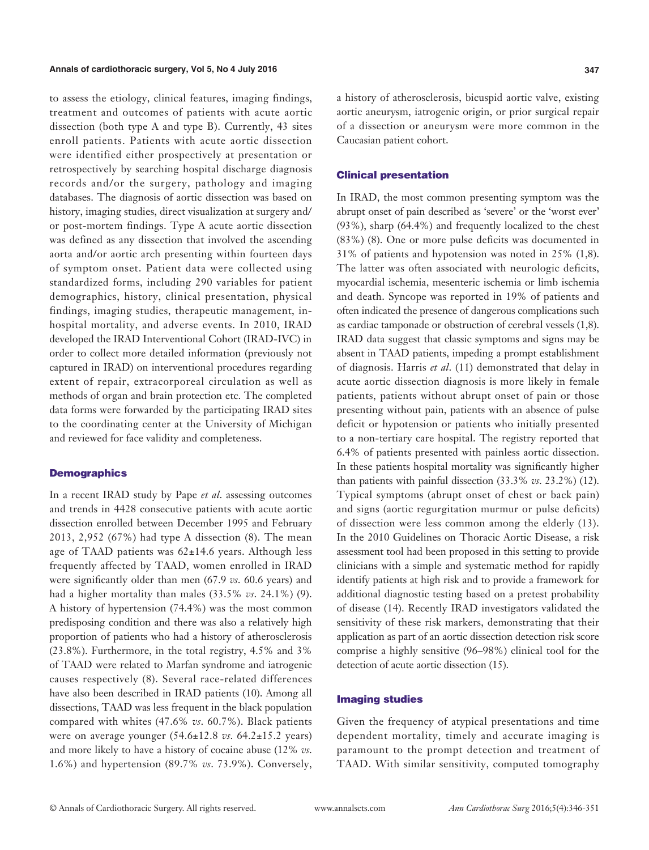#### **Annals of cardiothoracic surgery, Vol 5, No 4 July 2016 347**

to assess the etiology, clinical features, imaging findings, treatment and outcomes of patients with acute aortic dissection (both type A and type B). Currently, 43 sites enroll patients. Patients with acute aortic dissection were identified either prospectively at presentation or retrospectively by searching hospital discharge diagnosis records and/or the surgery, pathology and imaging databases. The diagnosis of aortic dissection was based on history, imaging studies, direct visualization at surgery and/ or post-mortem findings. Type A acute aortic dissection was defined as any dissection that involved the ascending aorta and/or aortic arch presenting within fourteen days of symptom onset. Patient data were collected using standardized forms, including 290 variables for patient demographics, history, clinical presentation, physical findings, imaging studies, therapeutic management, inhospital mortality, and adverse events. In 2010, IRAD developed the IRAD Interventional Cohort (IRAD-IVC) in order to collect more detailed information (previously not captured in IRAD) on interventional procedures regarding extent of repair, extracorporeal circulation as well as methods of organ and brain protection etc. The completed data forms were forwarded by the participating IRAD sites to the coordinating center at the University of Michigan and reviewed for face validity and completeness.

#### **Demographics**

In a recent IRAD study by Pape *et al*. assessing outcomes and trends in 4428 consecutive patients with acute aortic dissection enrolled between December 1995 and February 2013, 2,952 (67%) had type A dissection (8). The mean age of TAAD patients was  $62\pm14.6$  years. Although less frequently affected by TAAD, women enrolled in IRAD were significantly older than men (67.9 *vs*. 60.6 years) and had a higher mortality than males (33.5% *vs*. 24.1%) (9). A history of hypertension (74.4%) was the most common predisposing condition and there was also a relatively high proportion of patients who had a history of atherosclerosis (23.8%). Furthermore, in the total registry, 4.5% and 3% of TAAD were related to Marfan syndrome and iatrogenic causes respectively (8). Several race-related differences have also been described in IRAD patients (10). Among all dissections, TAAD was less frequent in the black population compared with whites (47.6% *vs*. 60.7%). Black patients were on average younger (54.6±12.8 *vs*. 64.2±15.2 years) and more likely to have a history of cocaine abuse (12% *vs*. 1.6%) and hypertension (89.7% *vs*. 73.9%). Conversely, a history of atherosclerosis, bicuspid aortic valve, existing aortic aneurysm, iatrogenic origin, or prior surgical repair of a dissection or aneurysm were more common in the Caucasian patient cohort.

### Clinical presentation

In IRAD, the most common presenting symptom was the abrupt onset of pain described as 'severe' or the 'worst ever' (93%), sharp (64.4%) and frequently localized to the chest (83%) (8). One or more pulse deficits was documented in 31% of patients and hypotension was noted in 25% (1,8). The latter was often associated with neurologic deficits, myocardial ischemia, mesenteric ischemia or limb ischemia and death. Syncope was reported in 19% of patients and often indicated the presence of dangerous complications such as cardiac tamponade or obstruction of cerebral vessels (1,8). IRAD data suggest that classic symptoms and signs may be absent in TAAD patients, impeding a prompt establishment of diagnosis. Harris *et al*. (11) demonstrated that delay in acute aortic dissection diagnosis is more likely in female patients, patients without abrupt onset of pain or those presenting without pain, patients with an absence of pulse deficit or hypotension or patients who initially presented to a non-tertiary care hospital. The registry reported that 6.4% of patients presented with painless aortic dissection. In these patients hospital mortality was significantly higher than patients with painful dissection (33.3% *vs*. 23.2%) (12). Typical symptoms (abrupt onset of chest or back pain) and signs (aortic regurgitation murmur or pulse deficits) of dissection were less common among the elderly (13). In the 2010 Guidelines on Thoracic Aortic Disease, a risk assessment tool had been proposed in this setting to provide clinicians with a simple and systematic method for rapidly identify patients at high risk and to provide a framework for additional diagnostic testing based on a pretest probability of disease (14). Recently IRAD investigators validated the sensitivity of these risk markers, demonstrating that their application as part of an aortic dissection detection risk score comprise a highly sensitive (96–98%) clinical tool for the detection of acute aortic dissection (15).

#### Imaging studies

Given the frequency of atypical presentations and time dependent mortality, timely and accurate imaging is paramount to the prompt detection and treatment of TAAD. With similar sensitivity, computed tomography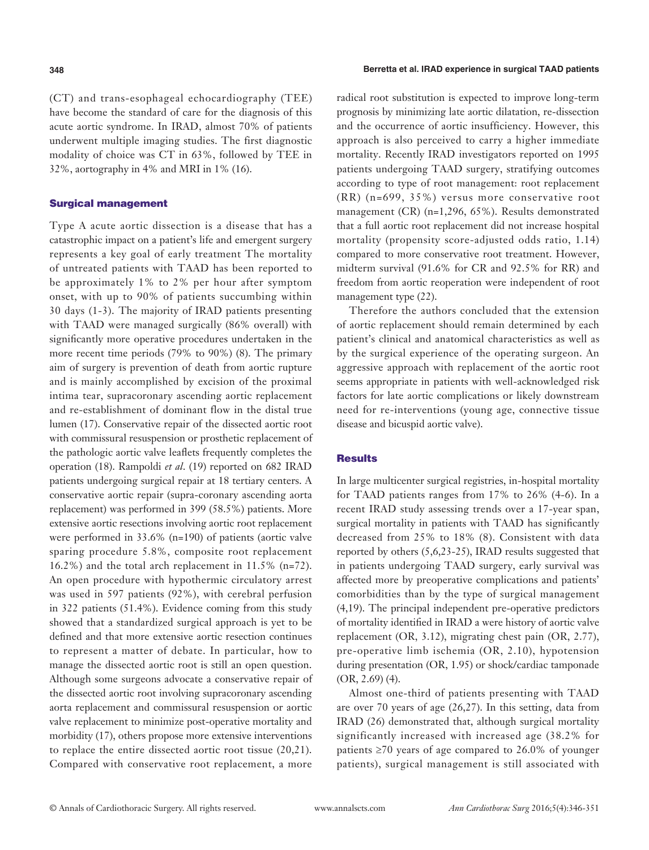(CT) and trans-esophageal echocardiography (TEE) have become the standard of care for the diagnosis of this acute aortic syndrome. In IRAD, almost 70% of patients underwent multiple imaging studies. The first diagnostic modality of choice was CT in 63%, followed by TEE in 32%, aortography in 4% and MRI in 1% (16).

### Surgical management

Type A acute aortic dissection is a disease that has a catastrophic impact on a patient's life and emergent surgery represents a key goal of early treatment The mortality of untreated patients with TAAD has been reported to be approximately 1% to 2% per hour after symptom onset, with up to 90% of patients succumbing within 30 days (1-3). The majority of IRAD patients presenting with TAAD were managed surgically (86% overall) with significantly more operative procedures undertaken in the more recent time periods (79% to 90%) (8). The primary aim of surgery is prevention of death from aortic rupture and is mainly accomplished by excision of the proximal intima tear, supracoronary ascending aortic replacement and re-establishment of dominant flow in the distal true lumen (17). Conservative repair of the dissected aortic root with commissural resuspension or prosthetic replacement of the pathologic aortic valve leaflets frequently completes the operation (18). Rampoldi *et al*. (19) reported on 682 IRAD patients undergoing surgical repair at 18 tertiary centers. A conservative aortic repair (supra-coronary ascending aorta replacement) was performed in 399 (58.5%) patients. More extensive aortic resections involving aortic root replacement were performed in 33.6% (n=190) of patients (aortic valve sparing procedure 5.8%, composite root replacement 16.2%) and the total arch replacement in 11.5% (n=72). An open procedure with hypothermic circulatory arrest was used in 597 patients (92%), with cerebral perfusion in 322 patients (51.4%). Evidence coming from this study showed that a standardized surgical approach is yet to be defined and that more extensive aortic resection continues to represent a matter of debate. In particular, how to manage the dissected aortic root is still an open question. Although some surgeons advocate a conservative repair of the dissected aortic root involving supracoronary ascending aorta replacement and commissural resuspension or aortic valve replacement to minimize post-operative mortality and morbidity (17), others propose more extensive interventions to replace the entire dissected aortic root tissue (20,21). Compared with conservative root replacement, a more radical root substitution is expected to improve long-term prognosis by minimizing late aortic dilatation, re-dissection and the occurrence of aortic insufficiency. However, this approach is also perceived to carry a higher immediate mortality. Recently IRAD investigators reported on 1995 patients undergoing TAAD surgery, stratifying outcomes according to type of root management: root replacement (RR) (n=699, 35%) versus more conservative root management (CR) (n=1,296, 65%). Results demonstrated that a full aortic root replacement did not increase hospital mortality (propensity score-adjusted odds ratio, 1.14) compared to more conservative root treatment. However, midterm survival (91.6% for CR and 92.5% for RR) and freedom from aortic reoperation were independent of root management type (22).

Therefore the authors concluded that the extension of aortic replacement should remain determined by each patient's clinical and anatomical characteristics as well as by the surgical experience of the operating surgeon. An aggressive approach with replacement of the aortic root seems appropriate in patients with well-acknowledged risk factors for late aortic complications or likely downstream need for re-interventions (young age, connective tissue disease and bicuspid aortic valve).

### **Results**

In large multicenter surgical registries, in-hospital mortality for TAAD patients ranges from 17% to 26% (4-6). In a recent IRAD study assessing trends over a 17-year span, surgical mortality in patients with TAAD has significantly decreased from 25% to 18% (8). Consistent with data reported by others (5,6,23-25), IRAD results suggested that in patients undergoing TAAD surgery, early survival was affected more by preoperative complications and patients' comorbidities than by the type of surgical management (4,19). The principal independent pre-operative predictors of mortality identified in IRAD a were history of aortic valve replacement (OR, 3.12), migrating chest pain (OR, 2.77), pre-operative limb ischemia (OR, 2.10), hypotension during presentation (OR, 1.95) or shock/cardiac tamponade (OR, 2.69) (4).

Almost one-third of patients presenting with TAAD are over 70 years of age (26,27). In this setting, data from IRAD (26) demonstrated that, although surgical mortality significantly increased with increased age (38.2% for patients  $\geq 70$  years of age compared to 26.0% of younger patients), surgical management is still associated with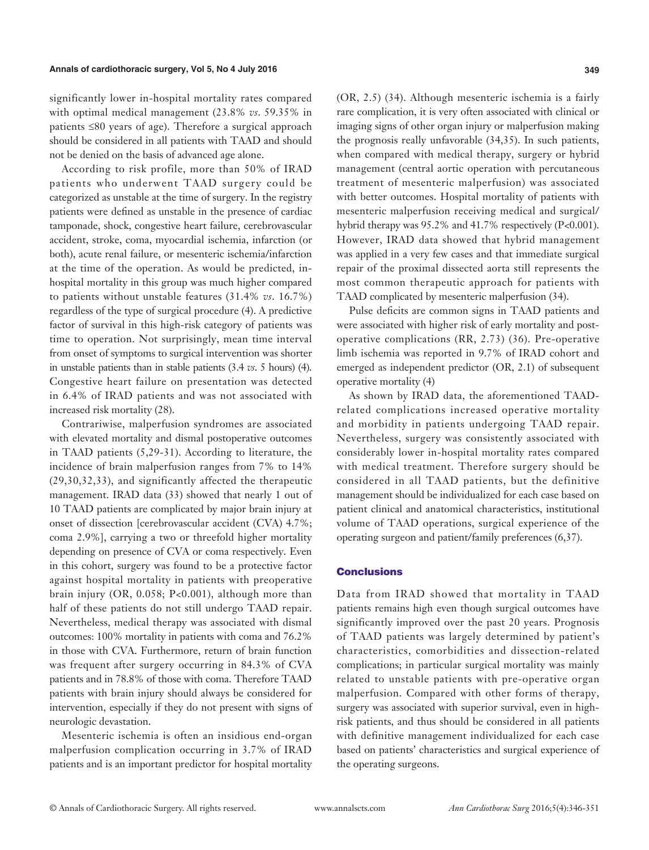significantly lower in-hospital mortality rates compared with optimal medical management (23.8% *vs*. 59.35% in patients ≤80 years of age). Therefore a surgical approach should be considered in all patients with TAAD and should not be denied on the basis of advanced age alone.

According to risk profile, more than 50% of IRAD patients who underwent TAAD surgery could be categorized as unstable at the time of surgery. In the registry patients were defined as unstable in the presence of cardiac tamponade, shock, congestive heart failure, cerebrovascular accident, stroke, coma, myocardial ischemia, infarction (or both), acute renal failure, or mesenteric ischemia/infarction at the time of the operation. As would be predicted, inhospital mortality in this group was much higher compared to patients without unstable features (31.4% *vs*. 16.7%) regardless of the type of surgical procedure (4). A predictive factor of survival in this high-risk category of patients was time to operation. Not surprisingly, mean time interval from onset of symptoms to surgical intervention was shorter in unstable patients than in stable patients (3.4 *vs*. 5 hours) (4). Congestive heart failure on presentation was detected in 6.4% of IRAD patients and was not associated with increased risk mortality (28).

Contrariwise, malperfusion syndromes are associated with elevated mortality and dismal postoperative outcomes in TAAD patients (5,29-31). According to literature, the incidence of brain malperfusion ranges from 7% to 14% (29,30,32,33), and significantly affected the therapeutic management. IRAD data (33) showed that nearly 1 out of 10 TAAD patients are complicated by major brain injury at onset of dissection [cerebrovascular accident (CVA) 4.7%; coma 2.9%], carrying a two or threefold higher mortality depending on presence of CVA or coma respectively. Even in this cohort, surgery was found to be a protective factor against hospital mortality in patients with preoperative brain injury (OR, 0.058; P<0.001), although more than half of these patients do not still undergo TAAD repair. Nevertheless, medical therapy was associated with dismal outcomes: 100% mortality in patients with coma and 76.2% in those with CVA. Furthermore, return of brain function was frequent after surgery occurring in 84.3% of CVA patients and in 78.8% of those with coma. Therefore TAAD patients with brain injury should always be considered for intervention, especially if they do not present with signs of neurologic devastation.

Mesenteric ischemia is often an insidious end-organ malperfusion complication occurring in 3.7% of IRAD patients and is an important predictor for hospital mortality (OR, 2.5) (34). Although mesenteric ischemia is a fairly rare complication, it is very often associated with clinical or imaging signs of other organ injury or malperfusion making the prognosis really unfavorable (34,35). In such patients, when compared with medical therapy, surgery or hybrid management (central aortic operation with percutaneous treatment of mesenteric malperfusion) was associated with better outcomes. Hospital mortality of patients with mesenteric malperfusion receiving medical and surgical/ hybrid therapy was 95.2% and 41.7% respectively (P<0.001). However, IRAD data showed that hybrid management was applied in a very few cases and that immediate surgical repair of the proximal dissected aorta still represents the most common therapeutic approach for patients with TAAD complicated by mesenteric malperfusion (34).

Pulse deficits are common signs in TAAD patients and were associated with higher risk of early mortality and postoperative complications (RR, 2.73) (36). Pre-operative limb ischemia was reported in 9.7% of IRAD cohort and emerged as independent predictor (OR, 2.1) of subsequent operative mortality (4)

As shown by IRAD data, the aforementioned TAADrelated complications increased operative mortality and morbidity in patients undergoing TAAD repair. Nevertheless, surgery was consistently associated with considerably lower in-hospital mortality rates compared with medical treatment. Therefore surgery should be considered in all TAAD patients, but the definitive management should be individualized for each case based on patient clinical and anatomical characteristics, institutional volume of TAAD operations, surgical experience of the operating surgeon and patient/family preferences (6,37).

#### **Conclusions**

Data from IRAD showed that mortality in TAAD patients remains high even though surgical outcomes have significantly improved over the past 20 years. Prognosis of TAAD patients was largely determined by patient's characteristics, comorbidities and dissection-related complications; in particular surgical mortality was mainly related to unstable patients with pre-operative organ malperfusion. Compared with other forms of therapy, surgery was associated with superior survival, even in highrisk patients, and thus should be considered in all patients with definitive management individualized for each case based on patients' characteristics and surgical experience of the operating surgeons.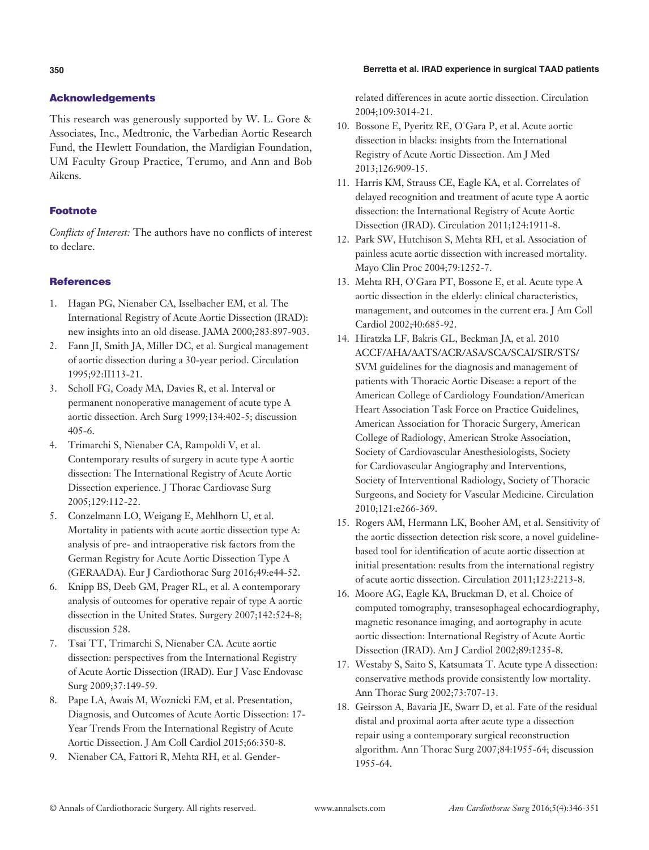### **350 Berretta et al. IRAD experience in surgical TAAD patients**

# Acknowledgements

This research was generously supported by W. L. Gore & Associates, Inc., Medtronic, the Varbedian Aortic Research Fund, the Hewlett Foundation, the Mardigian Foundation, UM Faculty Group Practice, Terumo, and Ann and Bob Aikens.

# Footnote

*Conflicts of Interest:* The authors have no conflicts of interest to declare.

# References

- 1. Hagan PG, Nienaber CA, Isselbacher EM, et al. The International Registry of Acute Aortic Dissection (IRAD): new insights into an old disease. JAMA 2000;283:897-903.
- 2. Fann JI, Smith JA, Miller DC, et al. Surgical management of aortic dissection during a 30-year period. Circulation 1995;92:II113-21.
- 3. Scholl FG, Coady MA, Davies R, et al. Interval or permanent nonoperative management of acute type A aortic dissection. Arch Surg 1999;134:402-5; discussion 405-6.
- 4. Trimarchi S, Nienaber CA, Rampoldi V, et al. Contemporary results of surgery in acute type A aortic dissection: The International Registry of Acute Aortic Dissection experience. J Thorac Cardiovasc Surg 2005;129:112-22.
- 5. Conzelmann LO, Weigang E, Mehlhorn U, et al. Mortality in patients with acute aortic dissection type A: analysis of pre- and intraoperative risk factors from the German Registry for Acute Aortic Dissection Type A (GERAADA). Eur J Cardiothorac Surg 2016;49:e44-52.
- 6. Knipp BS, Deeb GM, Prager RL, et al. A contemporary analysis of outcomes for operative repair of type A aortic dissection in the United States. Surgery 2007;142:524-8; discussion 528.
- 7. Tsai TT, Trimarchi S, Nienaber CA. Acute aortic dissection: perspectives from the International Registry of Acute Aortic Dissection (IRAD). Eur J Vasc Endovasc Surg 2009;37:149-59.
- 8. Pape LA, Awais M, Woznicki EM, et al. Presentation, Diagnosis, and Outcomes of Acute Aortic Dissection: 17- Year Trends From the International Registry of Acute Aortic Dissection. J Am Coll Cardiol 2015;66:350-8.
- 9. Nienaber CA, Fattori R, Mehta RH, et al. Gender-

related differences in acute aortic dissection. Circulation 2004;109:3014-21.

- 10. Bossone E, Pyeritz RE, O'Gara P, et al. Acute aortic dissection in blacks: insights from the International Registry of Acute Aortic Dissection. Am J Med 2013;126:909-15.
- 11. Harris KM, Strauss CE, Eagle KA, et al. Correlates of delayed recognition and treatment of acute type A aortic dissection: the International Registry of Acute Aortic Dissection (IRAD). Circulation 2011;124:1911-8.
- 12. Park SW, Hutchison S, Mehta RH, et al. Association of painless acute aortic dissection with increased mortality. Mayo Clin Proc 2004;79:1252-7.
- 13. Mehta RH, O'Gara PT, Bossone E, et al. Acute type A aortic dissection in the elderly: clinical characteristics, management, and outcomes in the current era. J Am Coll Cardiol 2002;40:685-92.
- 14. Hiratzka LF, Bakris GL, Beckman JA, et al. 2010 ACCF/AHA/AATS/ACR/ASA/SCA/SCAI/SIR/STS/ SVM guidelines for the diagnosis and management of patients with Thoracic Aortic Disease: a report of the American College of Cardiology Foundation/American Heart Association Task Force on Practice Guidelines, American Association for Thoracic Surgery, American College of Radiology, American Stroke Association, Society of Cardiovascular Anesthesiologists, Society for Cardiovascular Angiography and Interventions, Society of Interventional Radiology, Society of Thoracic Surgeons, and Society for Vascular Medicine. Circulation 2010;121:e266-369.
- 15. Rogers AM, Hermann LK, Booher AM, et al. Sensitivity of the aortic dissection detection risk score, a novel guidelinebased tool for identification of acute aortic dissection at initial presentation: results from the international registry of acute aortic dissection. Circulation 2011;123:2213-8.
- 16. Moore AG, Eagle KA, Bruckman D, et al. Choice of computed tomography, transesophageal echocardiography, magnetic resonance imaging, and aortography in acute aortic dissection: International Registry of Acute Aortic Dissection (IRAD). Am J Cardiol 2002;89:1235-8.
- 17. Westaby S, Saito S, Katsumata T. Acute type A dissection: conservative methods provide consistently low mortality. Ann Thorac Surg 2002;73:707-13.
- 18. Geirsson A, Bavaria JE, Swarr D, et al. Fate of the residual distal and proximal aorta after acute type a dissection repair using a contemporary surgical reconstruction algorithm. Ann Thorac Surg 2007;84:1955-64; discussion 1955-64.